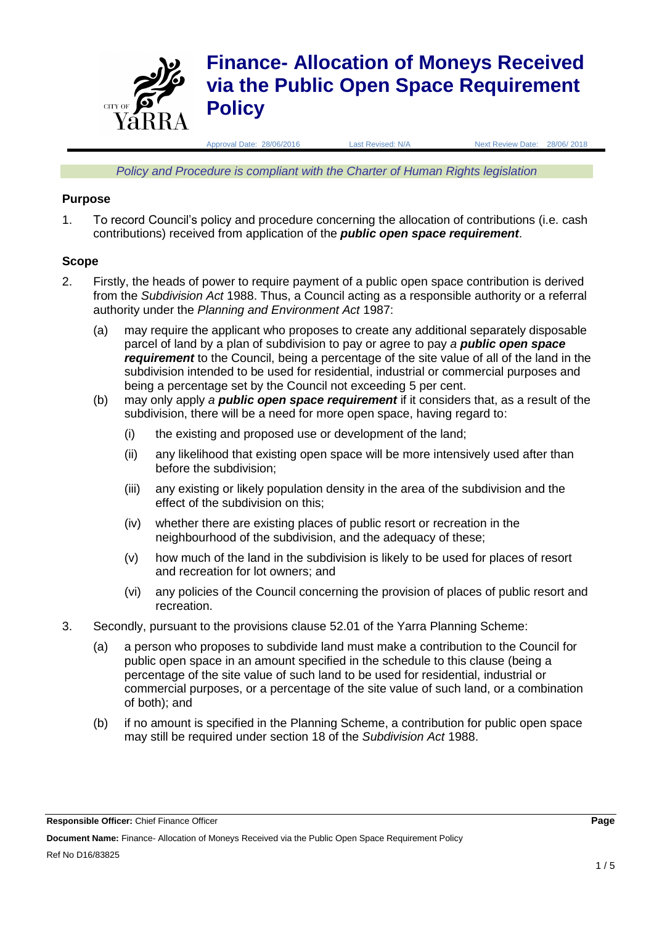

*Policy and Procedure is compliant with the Charter of Human Rights legislation*

### **Purpose**

1. To record Council's policy and procedure concerning the allocation of contributions (i.e. cash contributions) received from application of the *public open space requirement*.

### **Scope**

- 2. Firstly, the heads of power to require payment of a public open space contribution is derived from the *Subdivision Act* 1988. Thus, a Council acting as a responsible authority or a referral authority under the *Planning and Environment Act* 1987:
	- (a) may require the applicant who proposes to create any additional separately disposable parcel of land by a plan of subdivision to pay or agree to pay *a public open space requirement* to the Council, being a percentage of the site value of all of the land in the subdivision intended to be used for residential, industrial or commercial purposes and being a percentage set by the Council not exceeding 5 per cent.
	- (b) may only apply *a public open space requirement* if it considers that, as a result of the subdivision, there will be a need for more open space, having regard to:
		- (i) the existing and proposed use or development of the land;
		- (ii) any likelihood that existing open space will be more intensively used after than before the subdivision;
		- (iii) any existing or likely population density in the area of the subdivision and the effect of the subdivision on this;
		- (iv) whether there are existing places of public resort or recreation in the neighbourhood of the subdivision, and the adequacy of these;
		- (v) how much of the land in the subdivision is likely to be used for places of resort and recreation for lot owners; and
		- (vi) any policies of the Council concerning the provision of places of public resort and recreation.
- 3. Secondly, pursuant to the provisions clause 52.01 of the Yarra Planning Scheme:
	- (a) a person who proposes to subdivide land must make a contribution to the Council for public open space in an amount specified in the schedule to this clause (being a percentage of the site value of such land to be used for residential, industrial or commercial purposes, or a percentage of the site value of such land, or a combination of both); and
	- (b) if no amount is specified in the Planning Scheme, a contribution for public open space may still be required under section 18 of the *Subdivision Act* 1988.

**Responsible Officer:** Chief Finance Officer **Page**

**Document Name:** Finance- Allocation of Moneys Received via the Public Open Space Requirement Policy Ref No D16/83825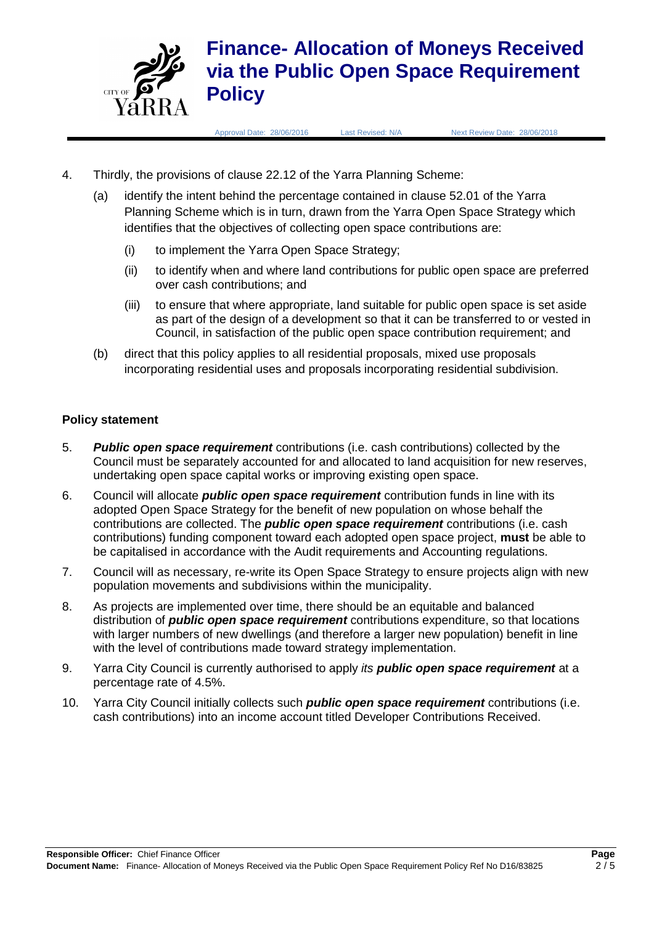

Approval Date: 28/06/2016 Last Revised: N/A Next Review Date: 28/06/2018

- 4. Thirdly, the provisions of clause 22.12 of the Yarra Planning Scheme:
	- (a) identify the intent behind the percentage contained in clause 52.01 of the Yarra Planning Scheme which is in turn, drawn from the Yarra Open Space Strategy which identifies that the objectives of collecting open space contributions are:
		- (i) to implement the Yarra Open Space Strategy;
		- (ii) to identify when and where land contributions for public open space are preferred over cash contributions; and
		- (iii) to ensure that where appropriate, land suitable for public open space is set aside as part of the design of a development so that it can be transferred to or vested in Council, in satisfaction of the public open space contribution requirement; and
	- (b) direct that this policy applies to all residential proposals, mixed use proposals incorporating residential uses and proposals incorporating residential subdivision.

## **Policy statement**

- 5. *Public open space requirement* contributions (i.e. cash contributions) collected by the Council must be separately accounted for and allocated to land acquisition for new reserves, undertaking open space capital works or improving existing open space.
- 6. Council will allocate *public open space requirement* contribution funds in line with its adopted Open Space Strategy for the benefit of new population on whose behalf the contributions are collected. The *public open space requirement* contributions (i.e. cash contributions) funding component toward each adopted open space project, **must** be able to be capitalised in accordance with the Audit requirements and Accounting regulations.
- 7. Council will as necessary, re-write its Open Space Strategy to ensure projects align with new population movements and subdivisions within the municipality.
- 8. As projects are implemented over time, there should be an equitable and balanced distribution of *public open space requirement* contributions expenditure, so that locations with larger numbers of new dwellings (and therefore a larger new population) benefit in line with the level of contributions made toward strategy implementation.
- 9. Yarra City Council is currently authorised to apply *its public open space requirement* at a percentage rate of 4.5%.
- 10. Yarra City Council initially collects such *public open space requirement* contributions (i.e. cash contributions) into an income account titled Developer Contributions Received.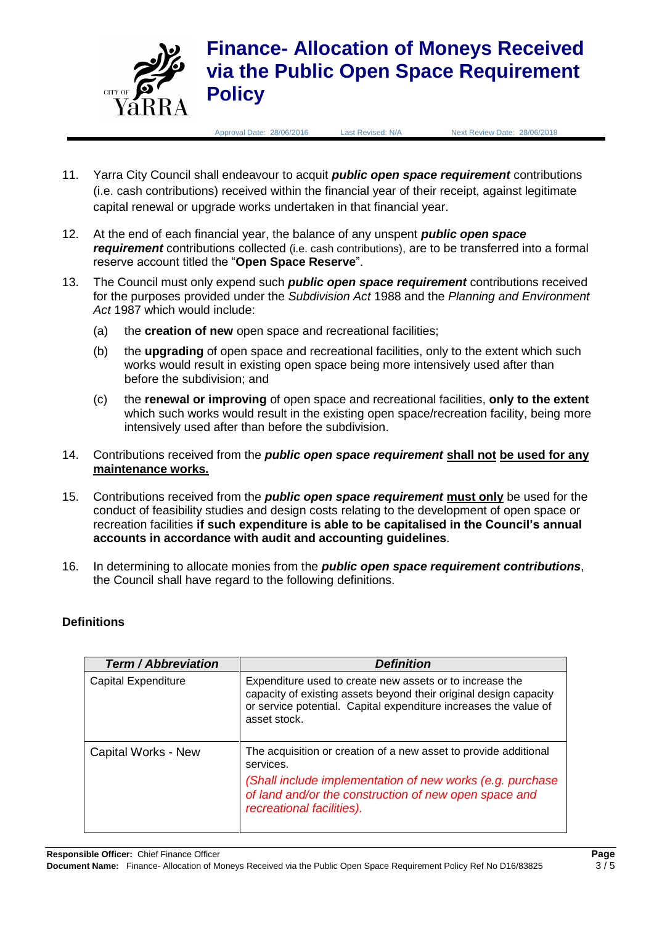

Approval Date: 28/06/2016 Last Revised: N/A Next Review Date: 28/06/2018

- 11. Yarra City Council shall endeavour to acquit *public open space requirement* contributions (i.e. cash contributions) received within the financial year of their receipt, against legitimate capital renewal or upgrade works undertaken in that financial year.
- 12. At the end of each financial year, the balance of any unspent *public open space requirement* contributions collected (i.e. cash contributions), are to be transferred into a formal reserve account titled the "**Open Space Reserve**".
- 13. The Council must only expend such *public open space requirement* contributions received for the purposes provided under the *Subdivision Act* 1988 and the *Planning and Environment Act* 1987 which would include:
	- (a) the **creation of new** open space and recreational facilities;
	- (b) the **upgrading** of open space and recreational facilities, only to the extent which such works would result in existing open space being more intensively used after than before the subdivision; and
	- (c) the **renewal or improving** of open space and recreational facilities, **only to the extent** which such works would result in the existing open space/recreation facility, being more intensively used after than before the subdivision.
- 14. Contributions received from the *public open space requirement* **shall not be used for any maintenance works.**
- 15. Contributions received from the *public open space requirement* **must only** be used for the conduct of feasibility studies and design costs relating to the development of open space or recreation facilities **if such expenditure is able to be capitalised in the Council's annual accounts in accordance with audit and accounting guidelines**.
- 16. In determining to allocate monies from the *public open space requirement contributions*, the Council shall have regard to the following definitions.

# **Definitions**

| <b>Term / Abbreviation</b> | <b>Definition</b>                                                                                                                                                                                                                |
|----------------------------|----------------------------------------------------------------------------------------------------------------------------------------------------------------------------------------------------------------------------------|
| Capital Expenditure        | Expenditure used to create new assets or to increase the<br>capacity of existing assets beyond their original design capacity<br>or service potential. Capital expenditure increases the value of<br>asset stock.                |
| Capital Works - New        | The acquisition or creation of a new asset to provide additional<br>services.<br>(Shall include implementation of new works (e.g. purchase<br>of land and/or the construction of new open space and<br>recreational facilities). |

**Responsible Officer:** Chief Finance Officer **Page**

**Document Name:** Finance- Allocation of Moneys Received via the Public Open Space Requirement Policy Ref No D16/83825 3 / 5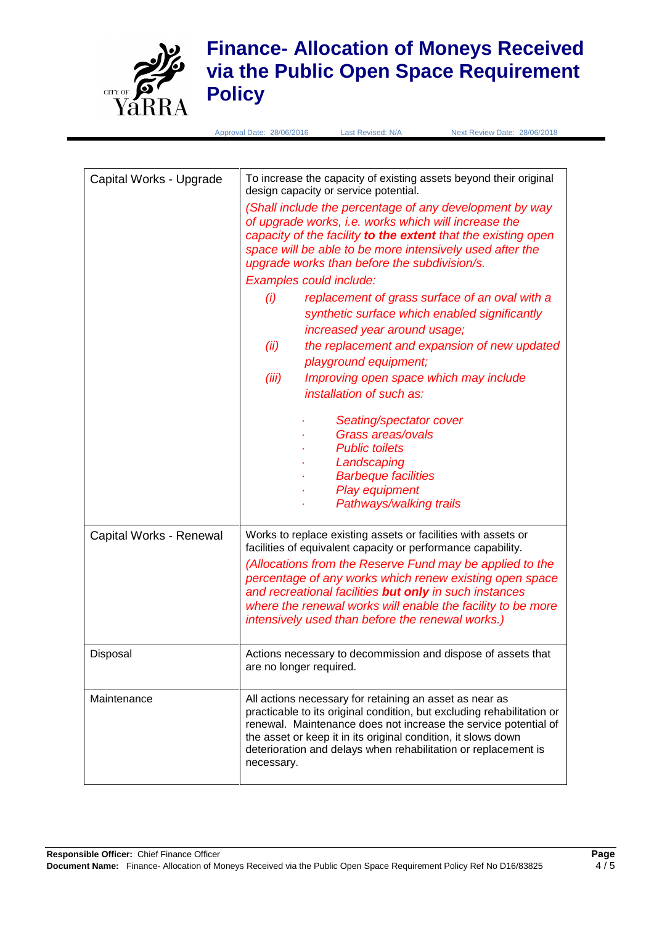

# **Finance- Allocation of Moneys Received via the Public Open Space Requirement Policy**

Approval Date: 28/06/2016 Last Revised: N/A Next Review Date: 28/06/2018

| Capital Works - Upgrade | To increase the capacity of existing assets beyond their original<br>design capacity or service potential.<br>(Shall include the percentage of any development by way<br>of upgrade works, i.e. works which will increase the<br>capacity of the facility to the extent that the existing open<br>space will be able to be more intensively used after the<br>upgrade works than before the subdivision/s.<br>Examples could include:<br>replacement of grass surface of an oval with a<br>(i)<br>synthetic surface which enabled significantly<br>increased year around usage;<br>the replacement and expansion of new updated<br>(ii)<br>playground equipment;<br>(iii)<br>Improving open space which may include<br>installation of such as:<br>Seating/spectator cover<br>Grass areas/ovals<br><b>Public toilets</b><br>Landscaping<br><b>Barbeque facilities</b><br>Play equipment |
|-------------------------|-----------------------------------------------------------------------------------------------------------------------------------------------------------------------------------------------------------------------------------------------------------------------------------------------------------------------------------------------------------------------------------------------------------------------------------------------------------------------------------------------------------------------------------------------------------------------------------------------------------------------------------------------------------------------------------------------------------------------------------------------------------------------------------------------------------------------------------------------------------------------------------------|
|                         | Pathways/walking trails                                                                                                                                                                                                                                                                                                                                                                                                                                                                                                                                                                                                                                                                                                                                                                                                                                                                 |
| Capital Works - Renewal | Works to replace existing assets or facilities with assets or<br>facilities of equivalent capacity or performance capability.<br>(Allocations from the Reserve Fund may be applied to the<br>percentage of any works which renew existing open space<br>and recreational facilities but only in such instances<br>where the renewal works will enable the facility to be more<br>intensively used than before the renewal works.)                                                                                                                                                                                                                                                                                                                                                                                                                                                       |
| Disposal                | Actions necessary to decommission and dispose of assets that<br>are no longer required.                                                                                                                                                                                                                                                                                                                                                                                                                                                                                                                                                                                                                                                                                                                                                                                                 |
| Maintenance             | All actions necessary for retaining an asset as near as<br>practicable to its original condition, but excluding rehabilitation or<br>renewal. Maintenance does not increase the service potential of<br>the asset or keep it in its original condition, it slows down<br>deterioration and delays when rehabilitation or replacement is<br>necessary.                                                                                                                                                                                                                                                                                                                                                                                                                                                                                                                                   |